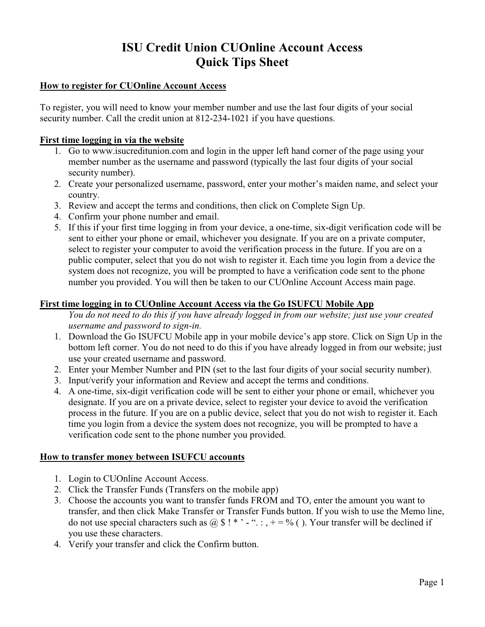# **ISU Credit Union CUOnline Account Access Quick Tips Sheet**

## **How to register for CUOnline Account Access**

To register, you will need to know your member number and use the last four digits of your social security number. Call the credit union at 812-234-1021 if you have questions.

#### **First time logging in via the website**

- 1. Go to www.isucreditunion.com and login in the upper left hand corner of the page using your member number as the username and password (typically the last four digits of your social security number).
- 2. Create your personalized username, password, enter your mother's maiden name, and select your country.
- 3. Review and accept the terms and conditions, then click on Complete Sign Up.
- 4. Confirm your phone number and email.
- 5. If this if your first time logging in from your device, a one-time, six-digit verification code will be sent to either your phone or email, whichever you designate. If you are on a private computer, select to register your computer to avoid the verification process in the future. If you are on a public computer, select that you do not wish to register it. Each time you login from a device the system does not recognize, you will be prompted to have a verification code sent to the phone number you provided. You will then be taken to our CUOnline Account Access main page.

#### **First time logging in to CUOnline Account Access via the Go ISUFCU Mobile App**

*You do not need to do this if you have already logged in from our website; just use your created username and password to sign-in.*

- 1. Download the Go ISUFCU Mobile app in your mobile device's app store. Click on Sign Up in the bottom left corner. You do not need to do this if you have already logged in from our website; just use your created username and password.
- 2. Enter your Member Number and PIN (set to the last four digits of your social security number).
- 3. Input/verify your information and Review and accept the terms and conditions.
- 4. A one-time, six-digit verification code will be sent to either your phone or email, whichever you designate. If you are on a private device, select to register your device to avoid the verification process in the future. If you are on a public device, select that you do not wish to register it. Each time you login from a device the system does not recognize, you will be prompted to have a verification code sent to the phone number you provided.

#### **How to transfer money between ISUFCU accounts**

- 1. Login to CUOnline Account Access.
- 2. Click the Transfer Funds (Transfers on the mobile app)
- 3. Choose the accounts you want to transfer funds FROM and TO, enter the amount you want to transfer, and then click Make Transfer or Transfer Funds button. If you wish to use the Memo line, do not use special characters such as  $\omega \$ !\*' - ".:, + = % (). Your transfer will be declined if you use these characters.
- 4. Verify your transfer and click the Confirm button.